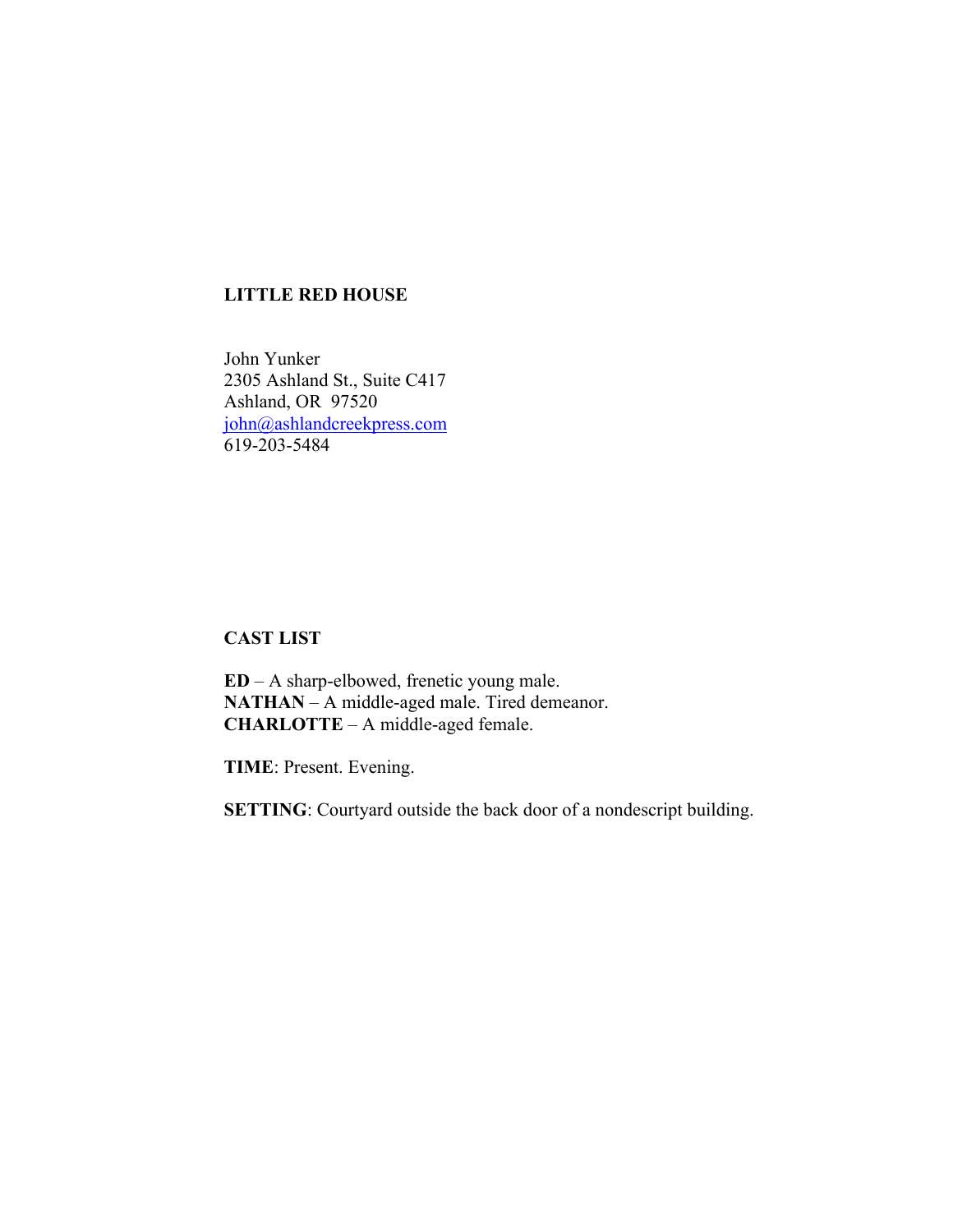# **LITTLE RED HOUSE**

John Yunker 2305 Ashland St., Suite C417 Ashland, OR 97520 john@ashlandcreekpress.com 619-203-5484

**CAST LIST**

**ED** – A sharp-elbowed, frenetic young male. **NATHAN** – A middle-aged male. Tired demeanor. **CHARLOTTE** – A middle-aged female.

**TIME**: Present. Evening.

**SETTING**: Courtyard outside the back door of a nondescript building.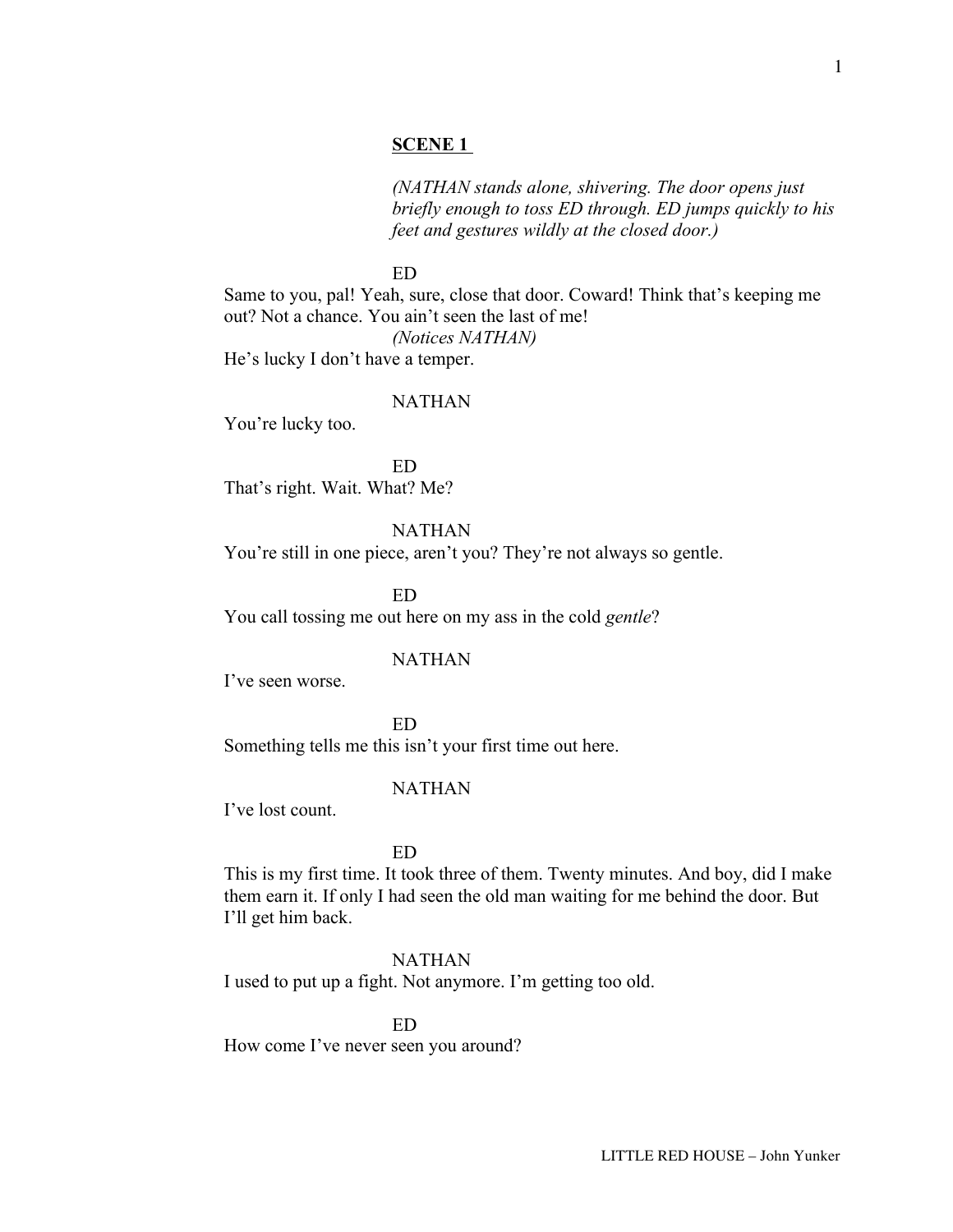# **SCENE 1**

*(NATHAN stands alone, shivering. The door opens just briefly enough to toss ED through. ED jumps quickly to his feet and gestures wildly at the closed door.)*

ED

Same to you, pal! Yeah, sure, close that door. Coward! Think that's keeping me out? Not a chance. You ain't seen the last of me! *(Notices NATHAN)*

He's lucky I don't have a temper.

### NATHAN

You're lucky too.

ED That's right. Wait. What? Me?

NATHAN

You're still in one piece, aren't you? They're not always so gentle.

ED You call tossing me out here on my ass in the cold *gentle*?

# NATHAN

I've seen worse.

ED Something tells me this isn't your first time out here.

### NATHAN

I've lost count.

ED

This is my first time. It took three of them. Twenty minutes. And boy, did I make them earn it. If only I had seen the old man waiting for me behind the door. But I'll get him back.

# NATHAN

I used to put up a fight. Not anymore. I'm getting too old.

ED

How come I've never seen you around?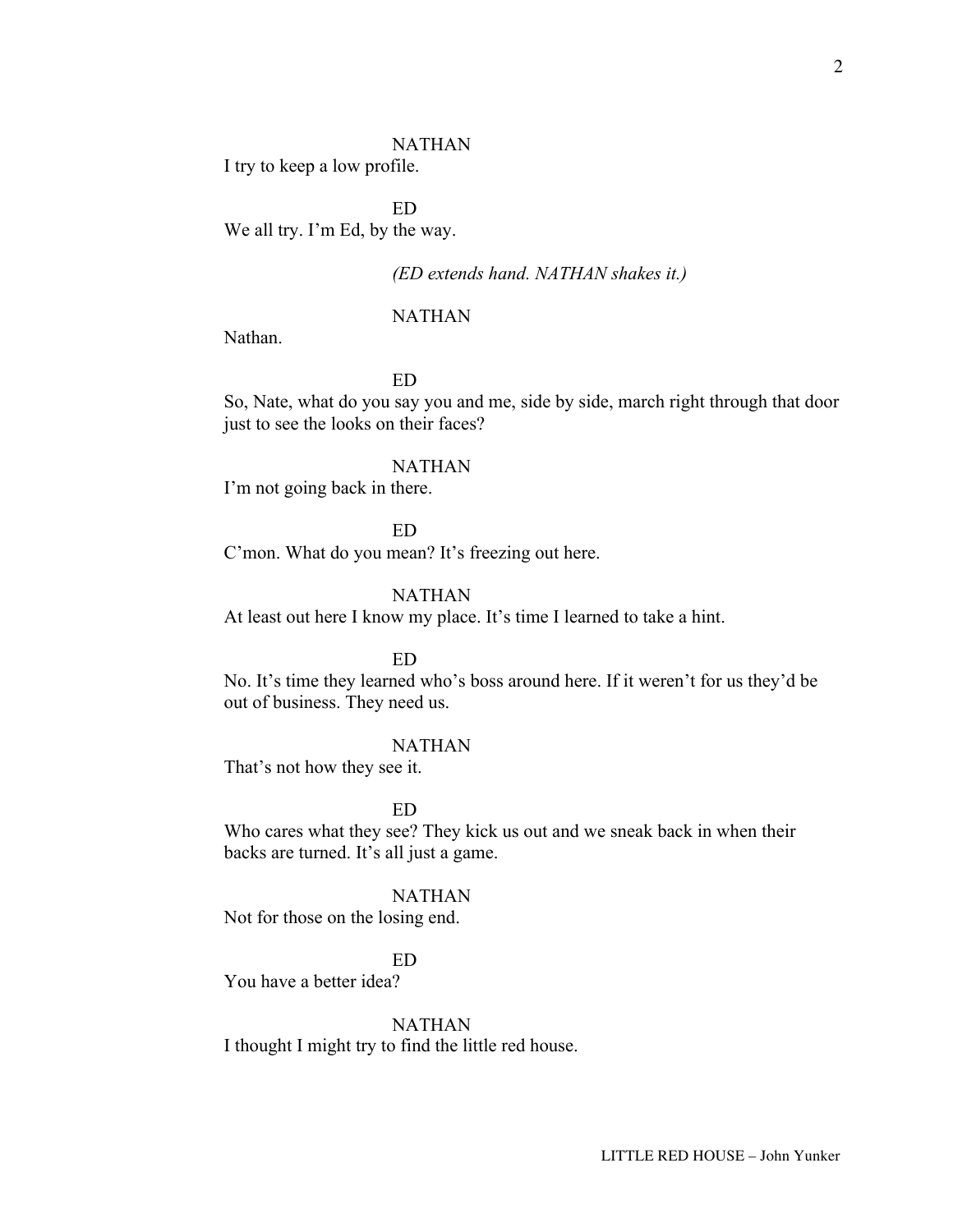### NATHAN

I try to keep a low profile.

ED We all try. I'm Ed, by the way.

# *(ED extends hand. NATHAN shakes it.)*

## NATHAN

Nathan.

# ED

So, Nate, what do you say you and me, side by side, march right through that door just to see the looks on their faces?

### NATHAN

I'm not going back in there.

ED

C'mon. What do you mean? It's freezing out here.

# NATHAN

At least out here I know my place. It's time I learned to take a hint.

#### ED

No. It's time they learned who's boss around here. If it weren't for us they'd be out of business. They need us.

# NATHAN

That's not how they see it.

### ED

Who cares what they see? They kick us out and we sneak back in when their backs are turned. It's all just a game.

### NATHAN

Not for those on the losing end.

# ED

You have a better idea?

### NATHAN

I thought I might try to find the little red house.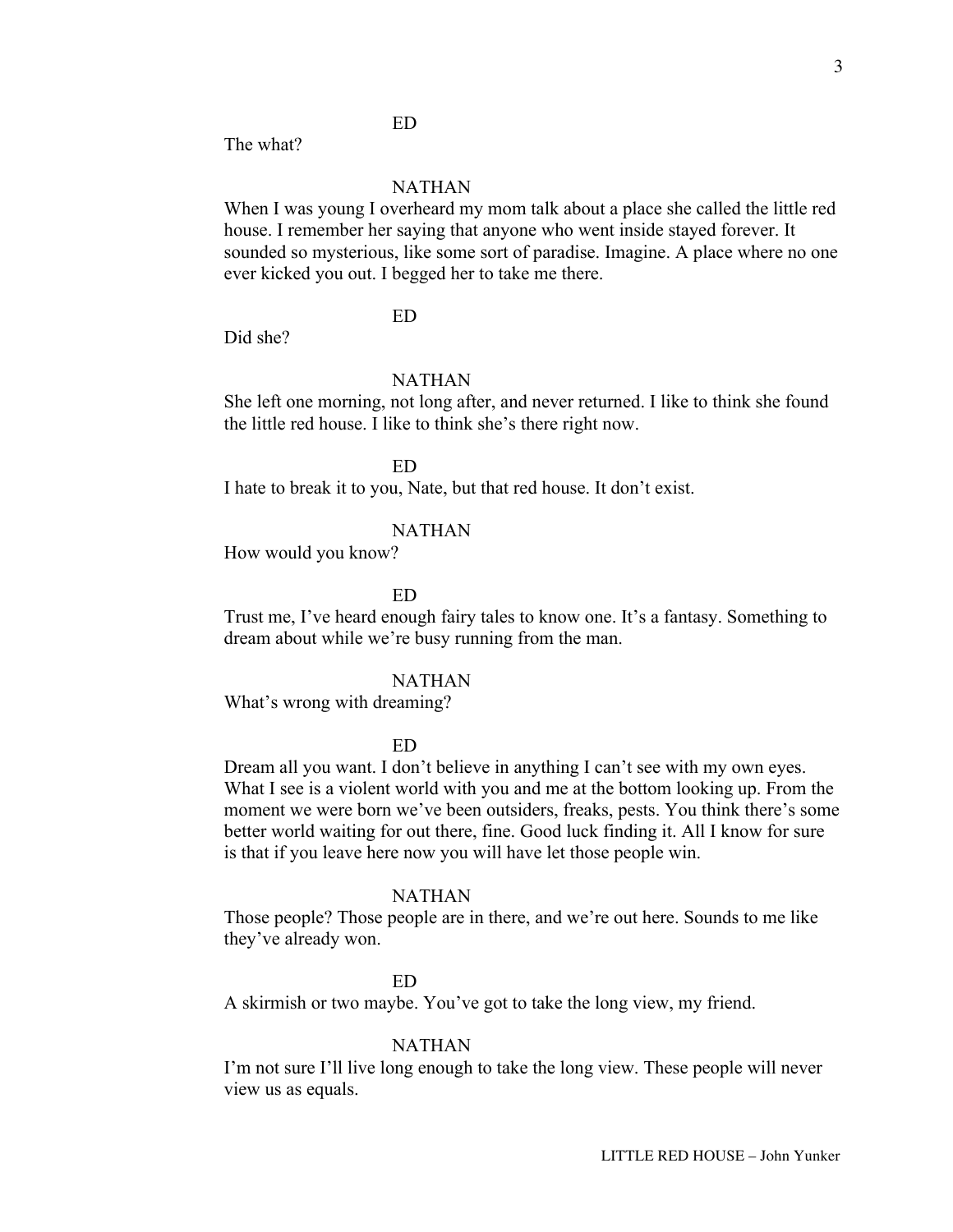# ED

The what?

# NATHAN

When I was young I overheard my mom talk about a place she called the little red house. I remember her saying that anyone who went inside stayed forever. It sounded so mysterious, like some sort of paradise. Imagine. A place where no one ever kicked you out. I begged her to take me there.

# ED

Did she?

# NATHAN

She left one morning, not long after, and never returned. I like to think she found the little red house. I like to think she's there right now.

ED

I hate to break it to you, Nate, but that red house. It don't exist.

### NATHAN

How would you know?

ED

Trust me, I've heard enough fairy tales to know one. It's a fantasy. Something to dream about while we're busy running from the man.

#### NATHAN

What's wrong with dreaming?

## ED

Dream all you want. I don't believe in anything I can't see with my own eyes. What I see is a violent world with you and me at the bottom looking up. From the moment we were born we've been outsiders, freaks, pests. You think there's some better world waiting for out there, fine. Good luck finding it. All I know for sure is that if you leave here now you will have let those people win.

### NATHAN

Those people? Those people are in there, and we're out here. Sounds to me like they've already won.

#### ED

A skirmish or two maybe. You've got to take the long view, my friend.

#### NATHAN

I'm not sure I'll live long enough to take the long view. These people will never view us as equals.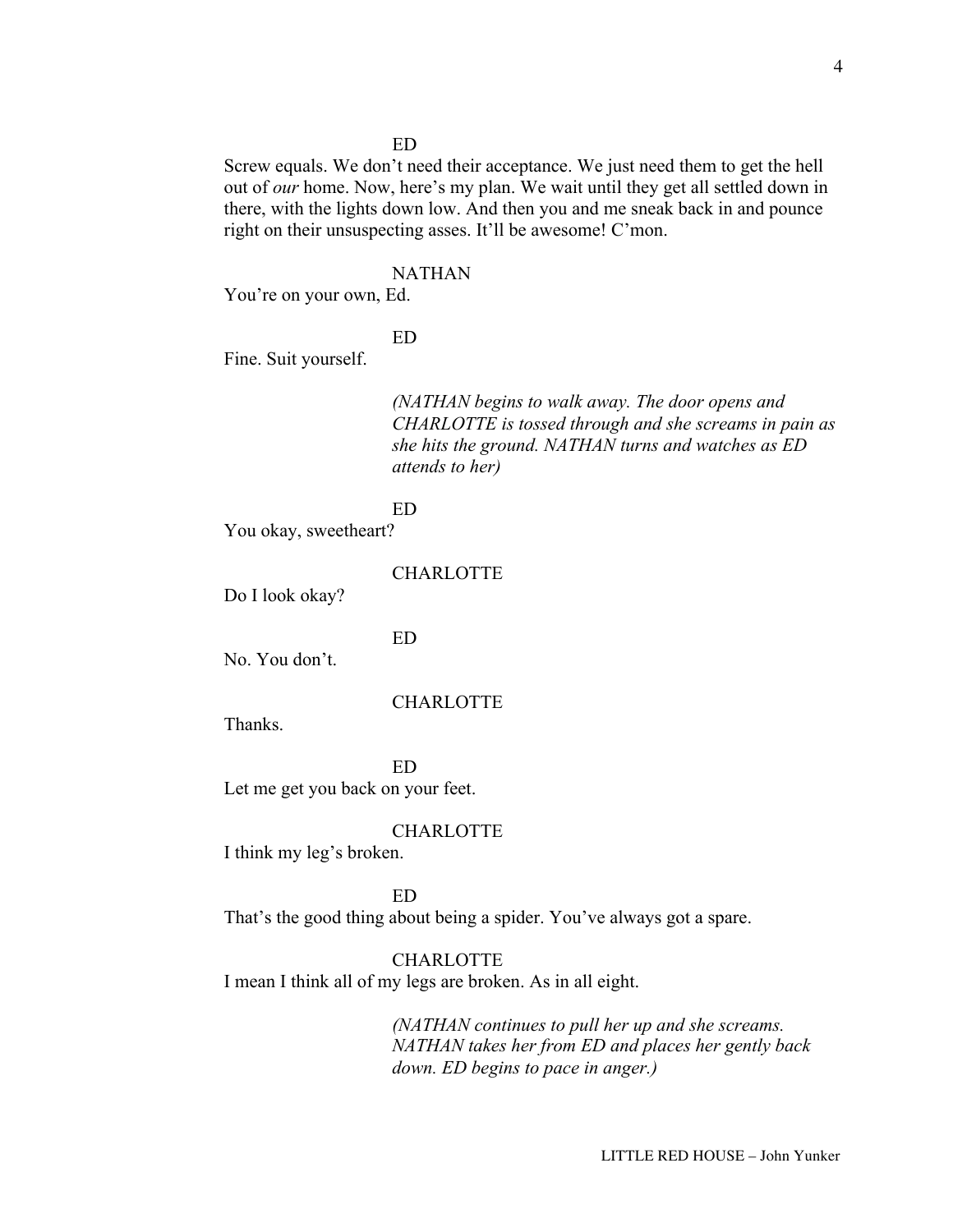# ED

Screw equals. We don't need their acceptance. We just need them to get the hell out of *our* home. Now, here's my plan. We wait until they get all settled down in there, with the lights down low. And then you and me sneak back in and pounce right on their unsuspecting asses. It'll be awesome! C'mon.

### NATHAN

You're on your own, Ed.

ED

Fine. Suit yourself.

*(NATHAN begins to walk away. The door opens and CHARLOTTE is tossed through and she screams in pain as she hits the ground. NATHAN turns and watches as ED attends to her)*

#### ED

You okay, sweetheart?

CHARLOTTE

Do I look okay?

ED

No. You don't.

### **CHARLOTTE**

Thanks.

ED Let me get you back on your feet.

### CHARLOTTE

I think my leg's broken.

ED

That's the good thing about being a spider. You've always got a spare.

### CHARLOTTE

I mean I think all of my legs are broken. As in all eight.

*(NATHAN continues to pull her up and she screams. NATHAN takes her from ED and places her gently back down. ED begins to pace in anger.)*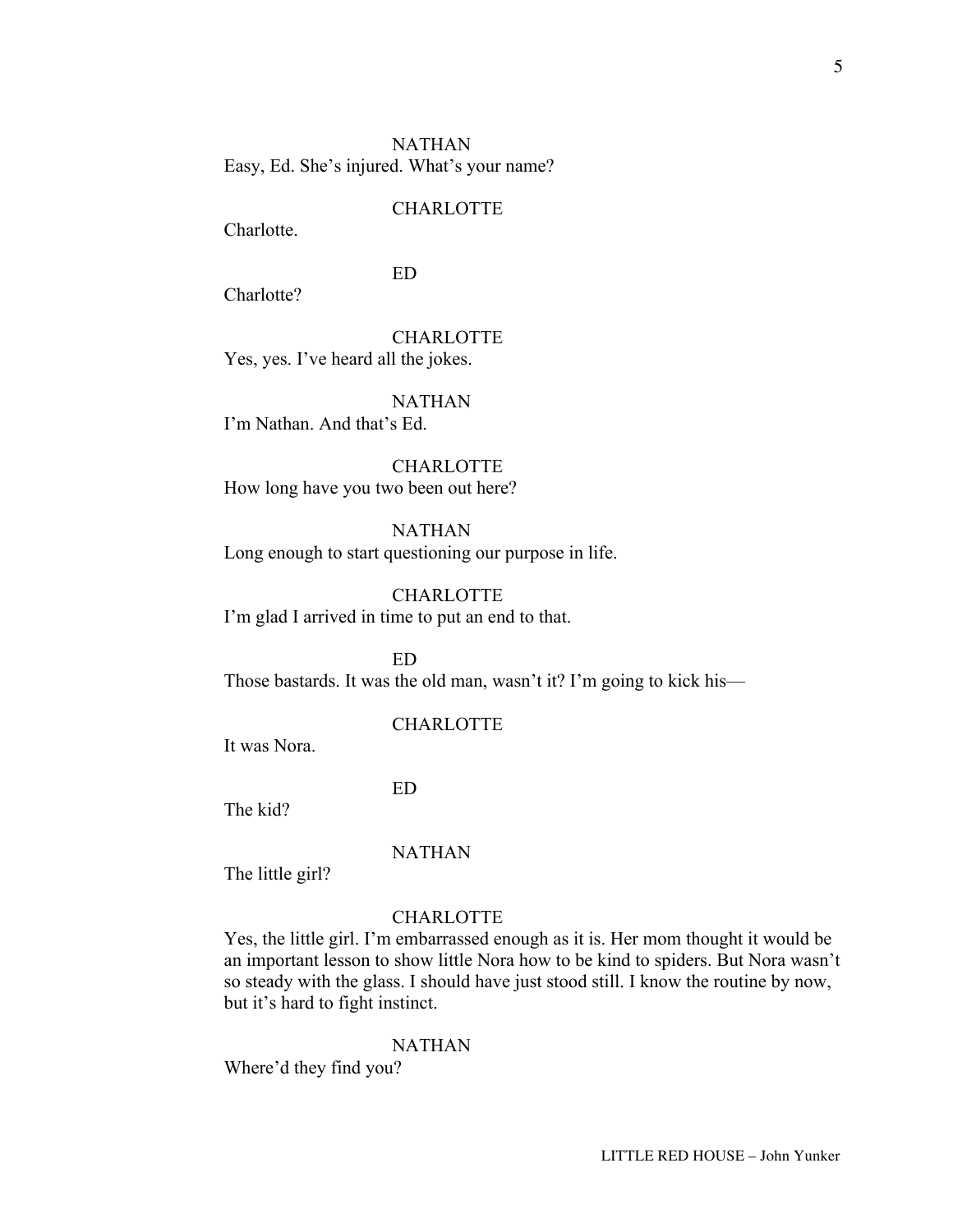Charlotte.

# ED

Charlotte?

CHARLOTTE Yes, yes. I've heard all the jokes.

### NATHAN

I'm Nathan. And that's Ed.

CHARLOTTE How long have you two been out here?

# NATHAN

Long enough to start questioning our purpose in life.

# CHARLOTTE

I'm glad I arrived in time to put an end to that.

ED Those bastards. It was the old man, wasn't it? I'm going to kick his—

### CHARLOTTE

It was Nora.

ED

The kid?

### NATHAN

The little girl?

## CHARLOTTE

Yes, the little girl. I'm embarrassed enough as it is. Her mom thought it would be an important lesson to show little Nora how to be kind to spiders. But Nora wasn't so steady with the glass. I should have just stood still. I know the routine by now, but it's hard to fight instinct.

### NATHAN

Where'd they find you?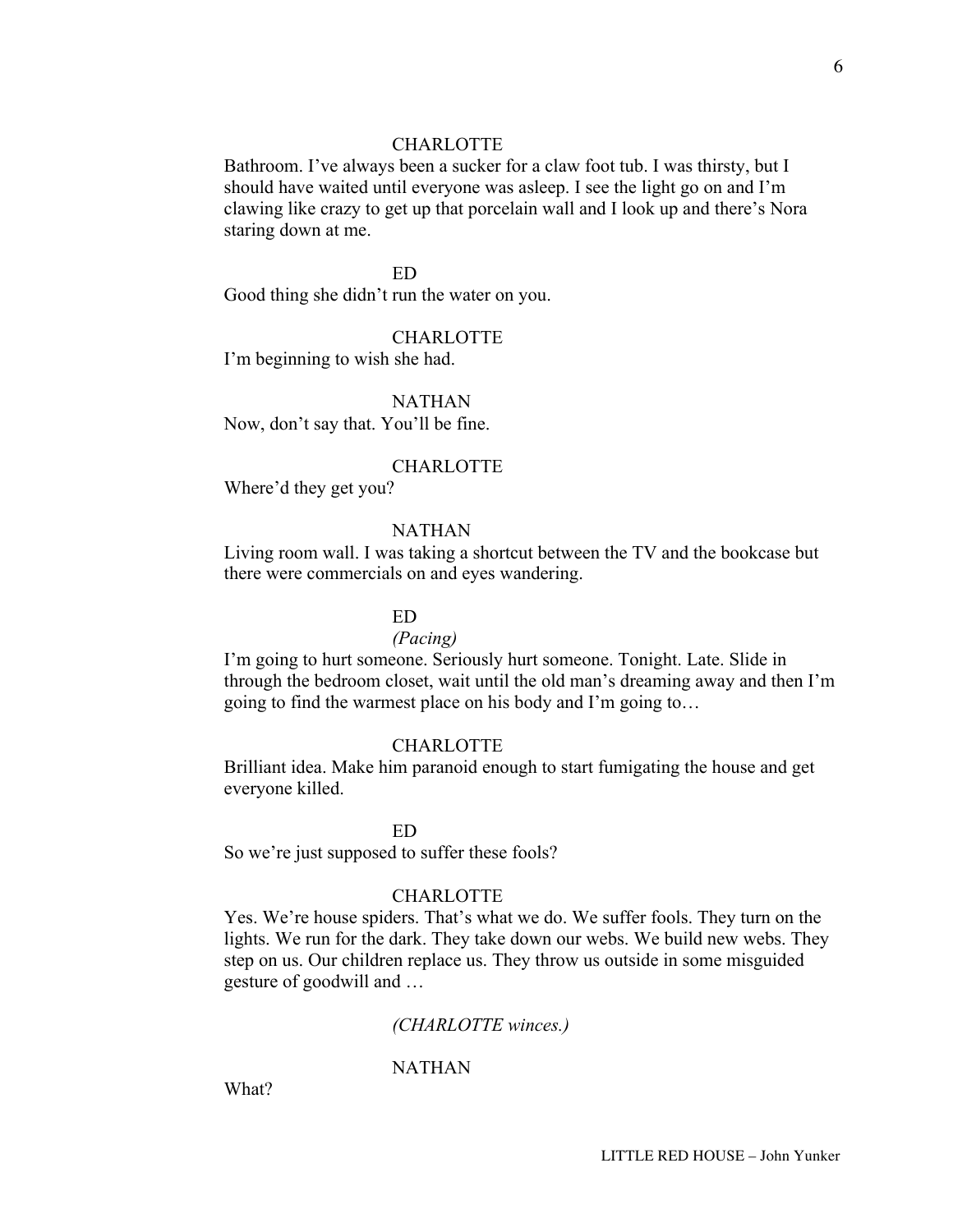Bathroom. I've always been a sucker for a claw foot tub. I was thirsty, but I should have waited until everyone was asleep. I see the light go on and I'm clawing like crazy to get up that porcelain wall and I look up and there's Nora staring down at me.

# ED

Good thing she didn't run the water on you.

### CHARLOTTE

I'm beginning to wish she had.

## NATHAN

Now, don't say that. You'll be fine.

#### CHARLOTTE

Where'd they get you?

# NATHAN

Living room wall. I was taking a shortcut between the TV and the bookcase but there were commercials on and eyes wandering.

# ED

#### *(Pacing)*

I'm going to hurt someone. Seriously hurt someone. Tonight. Late. Slide in through the bedroom closet, wait until the old man's dreaming away and then I'm going to find the warmest place on his body and I'm going to…

### CHARLOTTE

Brilliant idea. Make him paranoid enough to start fumigating the house and get everyone killed.

#### ED

So we're just supposed to suffer these fools?

### CHARLOTTE

Yes. We're house spiders. That's what we do. We suffer fools. They turn on the lights. We run for the dark. They take down our webs. We build new webs. They step on us. Our children replace us. They throw us outside in some misguided gesture of goodwill and …

### *(CHARLOTTE winces.)*

### NATHAN

What?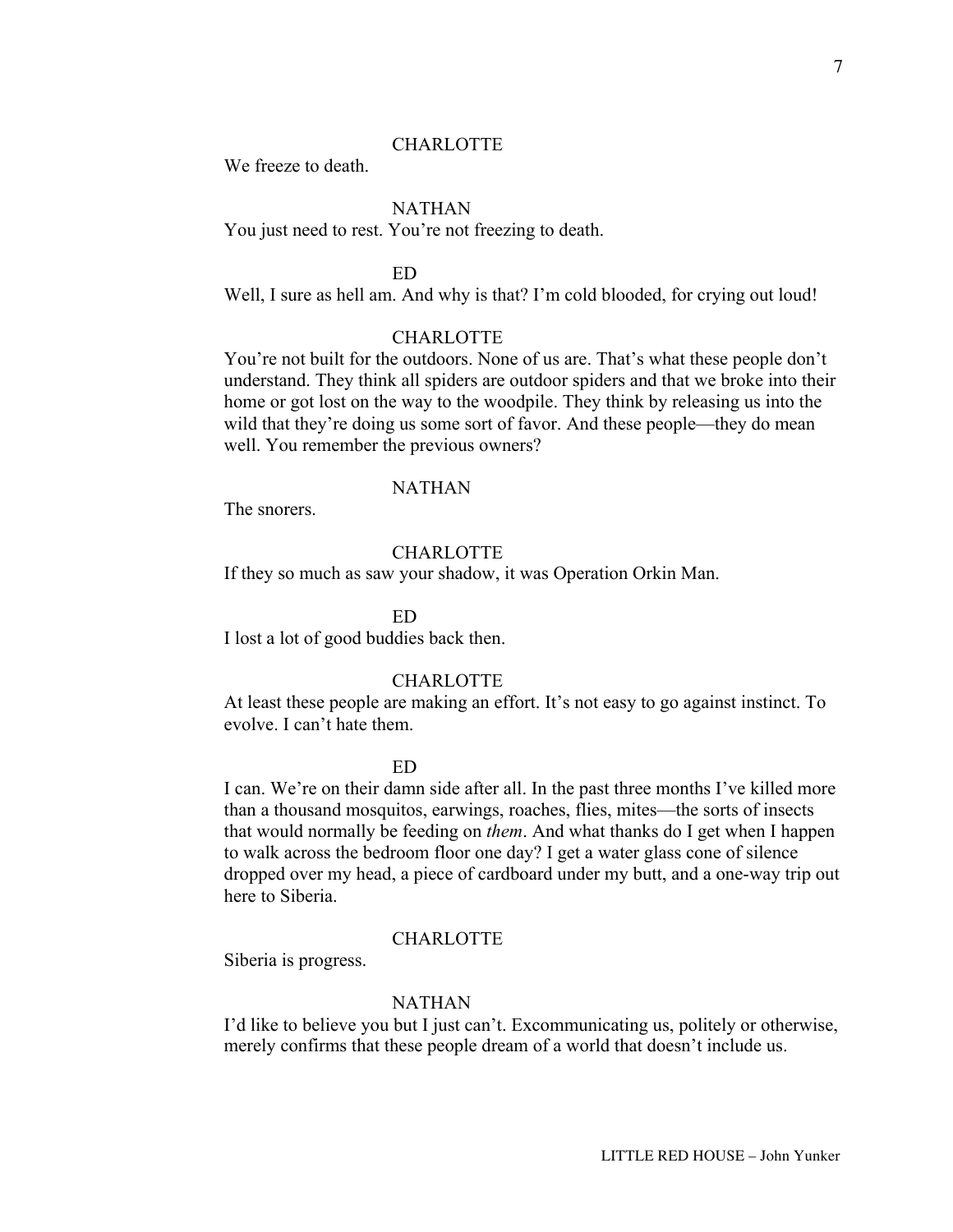We freeze to death.

# NATHAN

You just need to rest. You're not freezing to death.

# ED

Well, I sure as hell am. And why is that? I'm cold blooded, for crying out loud!

### CHARLOTTE

You're not built for the outdoors. None of us are. That's what these people don't understand. They think all spiders are outdoor spiders and that we broke into their home or got lost on the way to the woodpile. They think by releasing us into the wild that they're doing us some sort of favor. And these people—they do mean well. You remember the previous owners?

# NATHAN

The snorers.

# CHARLOTTE

If they so much as saw your shadow, it was Operation Orkin Man.

ED

I lost a lot of good buddies back then.

#### CHARLOTTE

At least these people are making an effort. It's not easy to go against instinct. To evolve. I can't hate them.

#### ED

I can. We're on their damn side after all. In the past three months I've killed more than a thousand mosquitos, earwings, roaches, flies, mites—the sorts of insects that would normally be feeding on *them*. And what thanks do I get when I happen to walk across the bedroom floor one day? I get a water glass cone of silence dropped over my head, a piece of cardboard under my butt, and a one-way trip out here to Siberia.

### CHARLOTTE

Siberia is progress.

# NATHAN

I'd like to believe you but I just can't. Excommunicating us, politely or otherwise, merely confirms that these people dream of a world that doesn't include us.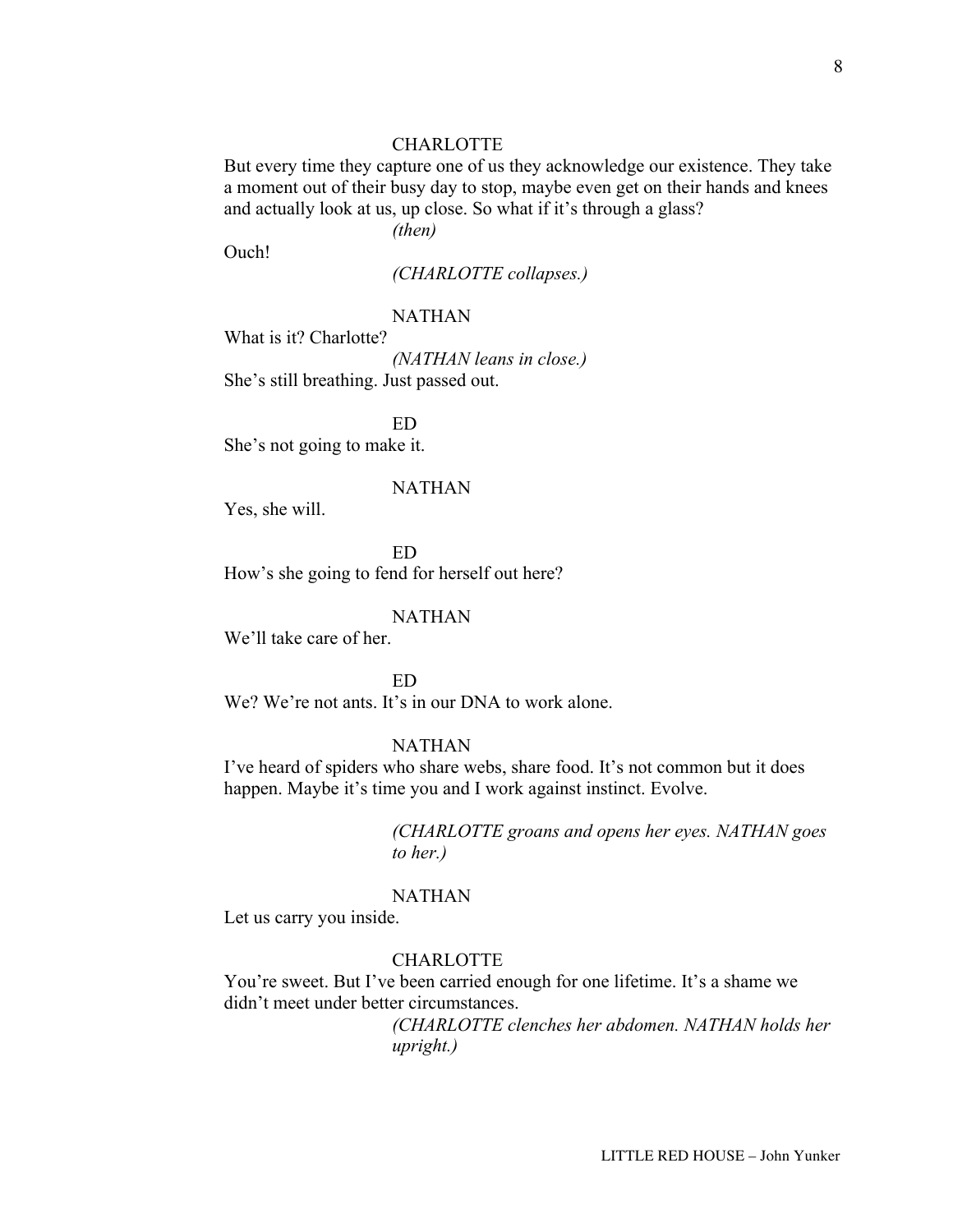But every time they capture one of us they acknowledge our existence. They take a moment out of their busy day to stop, maybe even get on their hands and knees and actually look at us, up close. So what if it's through a glass?

*(then)*

Ouch!

*(CHARLOTTE collapses.)*

## NATHAN

What is it? Charlotte?

*(NATHAN leans in close.)* She's still breathing. Just passed out.

ED She's not going to make it.

### NATHAN

Yes, she will.

ED How's she going to fend for herself out here?

### NATHAN

We'll take care of her.

ED

We? We're not ants. It's in our DNA to work alone.

## NATHAN

I've heard of spiders who share webs, share food. It's not common but it does happen. Maybe it's time you and I work against instinct. Evolve.

> *(CHARLOTTE groans and opens her eyes. NATHAN goes to her.)*

#### NATHAN

Let us carry you inside.

## CHARLOTTE

You're sweet. But I've been carried enough for one lifetime. It's a shame we didn't meet under better circumstances.

> *(CHARLOTTE clenches her abdomen. NATHAN holds her upright.)*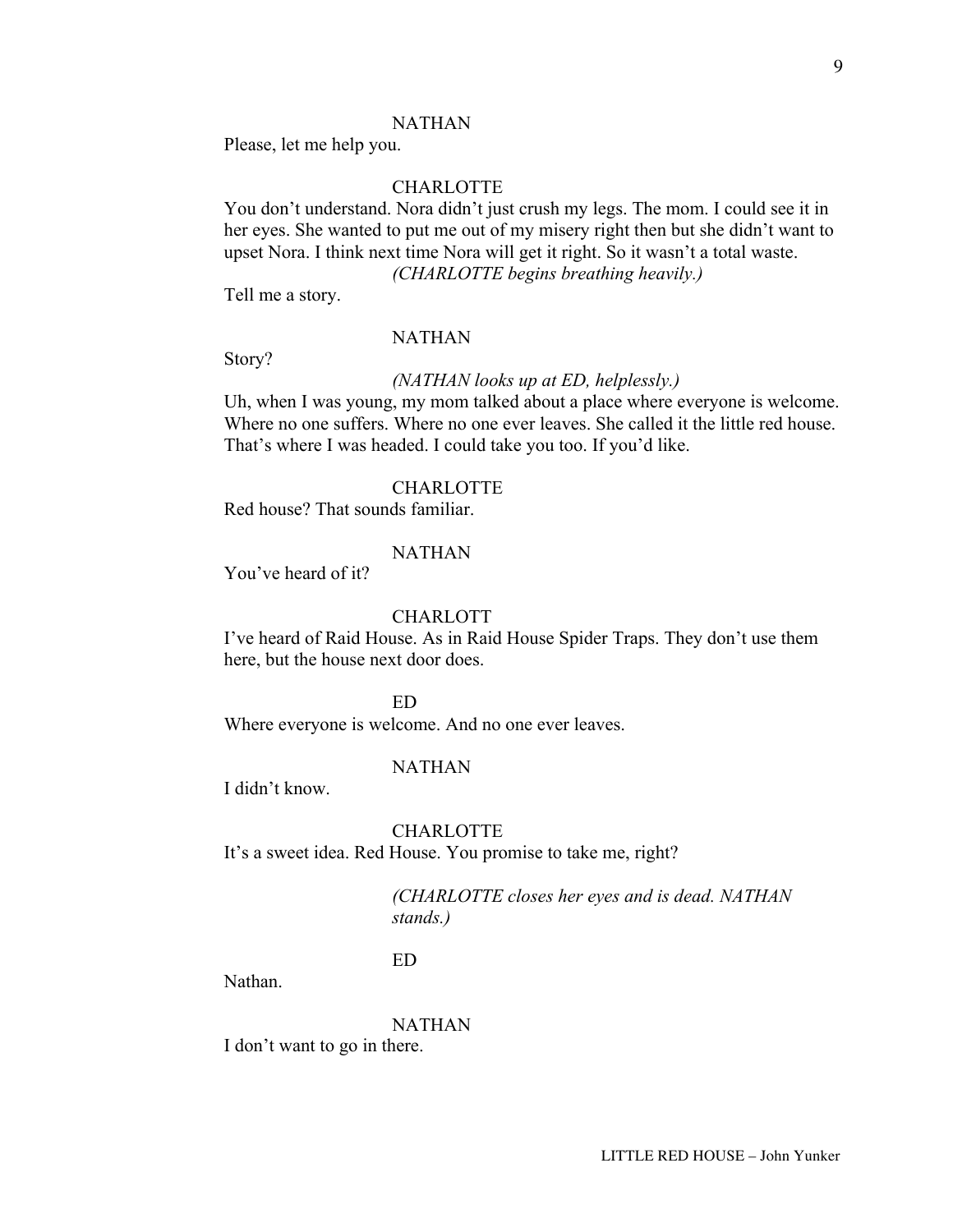### NATHAN

Please, let me help you.

# CHARLOTTE

You don't understand. Nora didn't just crush my legs. The mom. I could see it in her eyes. She wanted to put me out of my misery right then but she didn't want to upset Nora. I think next time Nora will get it right. So it wasn't a total waste. *(CHARLOTTE begins breathing heavily.)*

Tell me a story.

### NATHAN

Story?

### *(NATHAN looks up at ED, helplessly.)*

Uh, when I was young, my mom talked about a place where everyone is welcome. Where no one suffers. Where no one ever leaves. She called it the little red house. That's where I was headed. I could take you too. If you'd like.

# **CHARLOTTE**

Red house? That sounds familiar.

### NATHAN

You've heard of it?

### CHARLOTT

I've heard of Raid House. As in Raid House Spider Traps. They don't use them here, but the house next door does.

ED

Where everyone is welcome. And no one ever leaves.

#### NATHAN

I didn't know.

# CHARLOTTE

It's a sweet idea. Red House. You promise to take me, right?

# *(CHARLOTTE closes her eyes and is dead. NATHAN stands.)*

## ED

Nathan.

### NATHAN

I don't want to go in there.